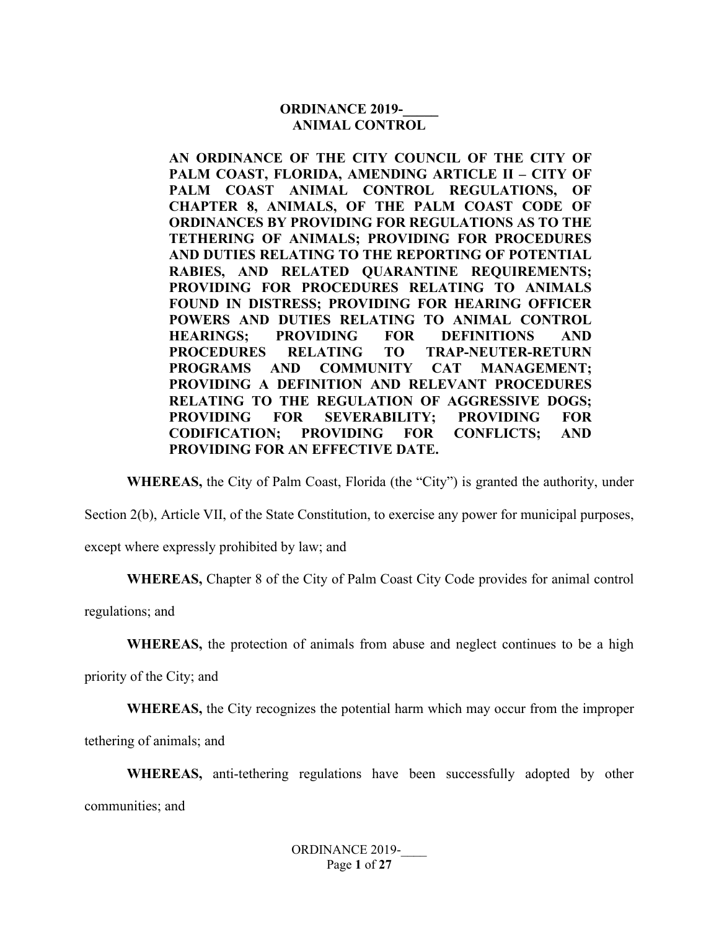#### **ORDINANCE 2019-ANIMAL CONTROL**

**AN ORDINANCE OF THE CITY COUNCIL OF THE CITY OF PALM COAST, FLORIDA, AMENDING ARTICLE II – CITY OF PALM COAST ANIMAL CONTROL REGULATIONS, OF CHAPTER 8, ANIMALS, OF THE PALM COAST CODE OF ORDINANCES BY PROVIDING FOR REGULATIONS AS TO THE TETHERING OF ANIMALS; PROVIDING FOR PROCEDURES AND DUTIES RELATING TO THE REPORTING OF POTENTIAL RABIES, AND RELATED QUARANTINE REQUIREMENTS; PROVIDING FOR PROCEDURES RELATING TO ANIMALS FOUND IN DISTRESS; PROVIDING FOR HEARING OFFICER POWERS AND DUTIES RELATING TO ANIMAL CONTROL HEARINGS; PROVIDING FOR DEFINITIONS AND PROCEDURES RELATING TO TRAP-NEUTER-RETURN PROGRAMS AND COMMUNITY CAT MANAGEMENT; PROVIDING A DEFINITION AND RELEVANT PROCEDURES RELATING TO THE REGULATION OF AGGRESSIVE DOGS; PROVIDING FOR SEVERABILITY; PROVIDING FOR CODIFICATION; PROVIDING FOR CONFLICTS; AND PROVIDING FOR AN EFFECTIVE DATE.**

**WHEREAS,** the City of Palm Coast, Florida (the "City") is granted the authority, under

Section 2(b), Article VII, of the State Constitution, to exercise any power for municipal purposes,

except where expressly prohibited by law; and

**WHEREAS,** Chapter 8 of the City of Palm Coast City Code provides for animal control

regulations; and

**WHEREAS,** the protection of animals from abuse and neglect continues to be a high

priority of the City; and

**WHEREAS,** the City recognizes the potential harm which may occur from the improper

tethering of animals; and

**WHEREAS,** anti-tethering regulations have been successfully adopted by other communities; and

> ORDINANCE 2019-Page **1** of **27**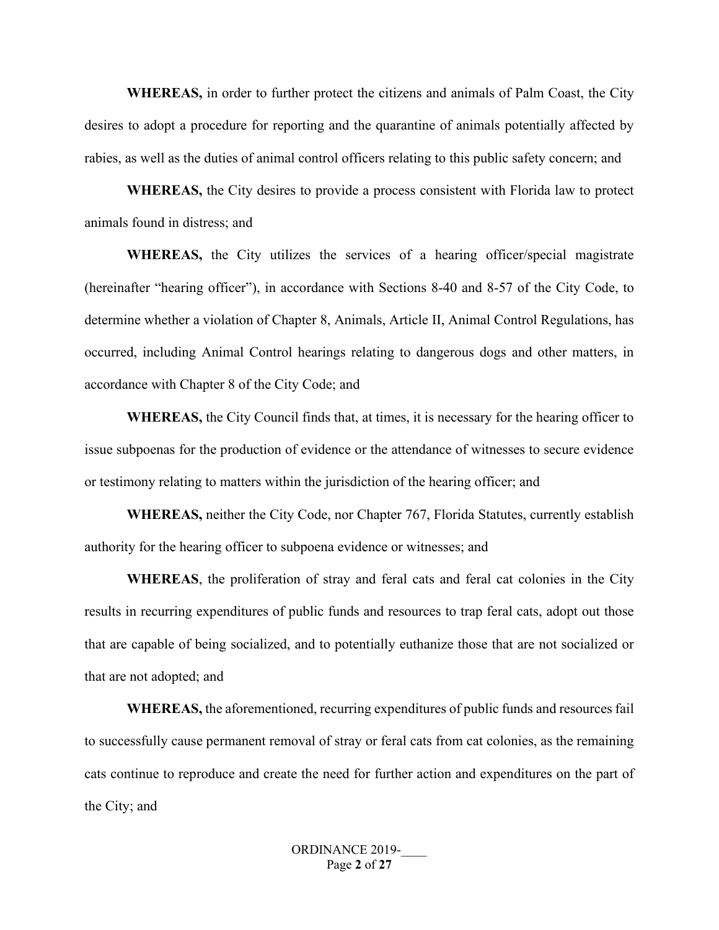**WHEREAS,** in order to further protect the citizens and animals of Palm Coast, the City desires to adopt a procedure for reporting and the quarantine of animals potentially affected by rabies, as well as the duties of animal control officers relating to this public safety concern; and

**WHEREAS,** the City desires to provide a process consistent with Florida law to protect animals found in distress; and

**WHEREAS,** the City utilizes the services of a hearing officer/special magistrate (hereinafter "hearing officer"), in accordance with Sections 8-40 and 8-57 of the City Code, to determine whether a violation of Chapter 8, Animals, Article II, Animal Control Regulations, has occurred, including Animal Control hearings relating to dangerous dogs and other matters, in accordance with Chapter 8 of the City Code; and

**WHEREAS,** the City Council finds that, at times, it is necessary for the hearing officer to issue subpoenas for the production of evidence or the attendance of witnesses to secure evidence or testimony relating to matters within the jurisdiction of the hearing officer; and

**WHEREAS,** neither the City Code, nor Chapter 767, Florida Statutes, currently establish authority for the hearing officer to subpoena evidence or witnesses; and

**WHEREAS**, the proliferation of stray and feral cats and feral cat colonies in the City results in recurring expenditures of public funds and resources to trap feral cats, adopt out those that are capable of being socialized, and to potentially euthanize those that are not socialized or that are not adopted; and

**WHEREAS,** the aforementioned, recurring expenditures of public funds and resources fail to successfully cause permanent removal of stray or feral cats from cat colonies, as the remaining cats continue to reproduce and create the need for further action and expenditures on the part of the City; and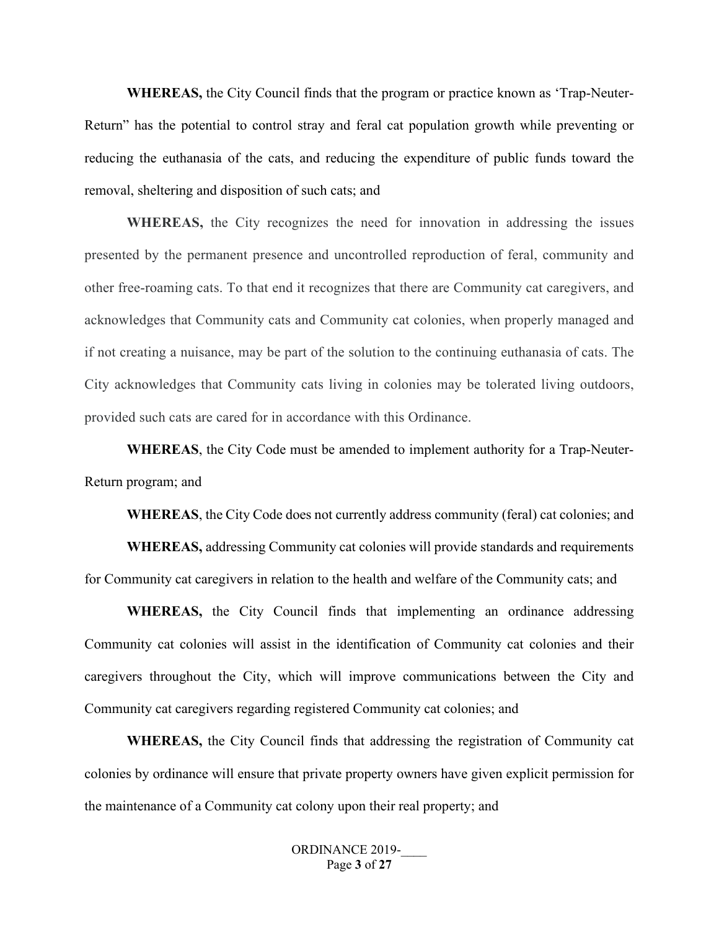**WHEREAS,** the City Council finds that the program or practice known as 'Trap-Neuter-Return" has the potential to control stray and feral cat population growth while preventing or reducing the euthanasia of the cats, and reducing the expenditure of public funds toward the removal, sheltering and disposition of such cats; and

**WHEREAS,** the City recognizes the need for innovation in addressing the issues presented by the permanent presence and uncontrolled reproduction of feral, community and other free-roaming cats. To that end it recognizes that there are Community cat caregivers, and acknowledges that Community cats and Community cat colonies, when properly managed and if not creating a nuisance, may be part of the solution to the continuing euthanasia of cats. The City acknowledges that Community cats living in colonies may be tolerated living outdoors, provided such cats are cared for in accordance with this Ordinance.

**WHEREAS**, the City Code must be amended to implement authority for a Trap-Neuter-Return program; and

**WHEREAS**, the City Code does not currently address community (feral) cat colonies; and

**WHEREAS,** addressing Community cat colonies will provide standards and requirements for Community cat caregivers in relation to the health and welfare of the Community cats; and

**WHEREAS,** the City Council finds that implementing an ordinance addressing Community cat colonies will assist in the identification of Community cat colonies and their caregivers throughout the City, which will improve communications between the City and Community cat caregivers regarding registered Community cat colonies; and

**WHEREAS,** the City Council finds that addressing the registration of Community cat colonies by ordinance will ensure that private property owners have given explicit permission for the maintenance of a Community cat colony upon their real property; and

> ORDINANCE 2019-Page **3** of **27**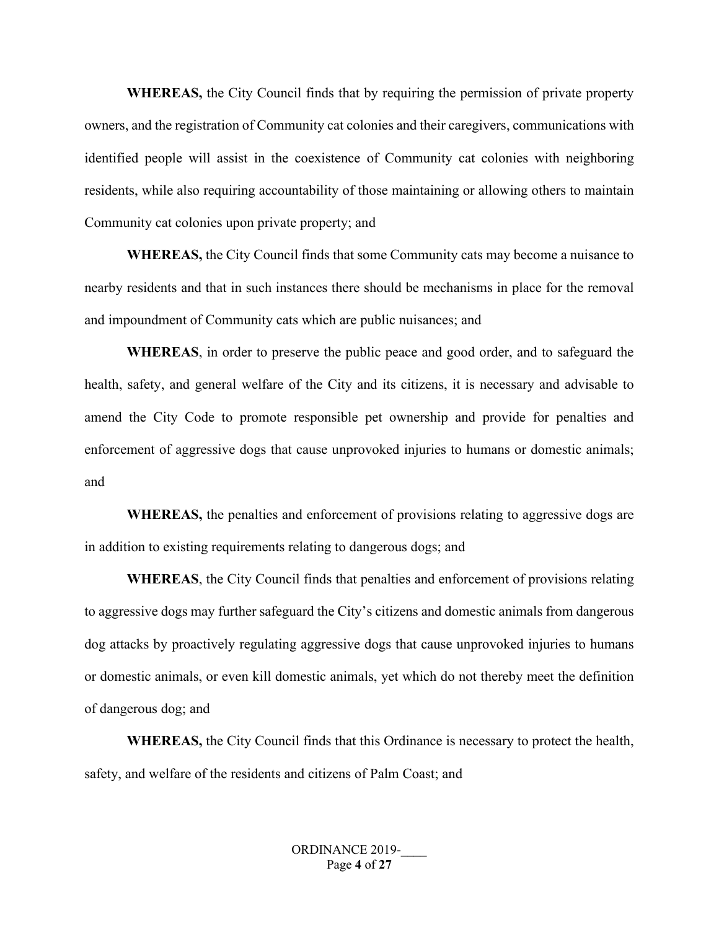**WHEREAS,** the City Council finds that by requiring the permission of private property owners, and the registration of Community cat colonies and their caregivers, communications with identified people will assist in the coexistence of Community cat colonies with neighboring residents, while also requiring accountability of those maintaining or allowing others to maintain Community cat colonies upon private property; and

**WHEREAS,** the City Council finds that some Community cats may become a nuisance to nearby residents and that in such instances there should be mechanisms in place for the removal and impoundment of Community cats which are public nuisances; and

**WHEREAS**, in order to preserve the public peace and good order, and to safeguard the health, safety, and general welfare of the City and its citizens, it is necessary and advisable to amend the City Code to promote responsible pet ownership and provide for penalties and enforcement of aggressive dogs that cause unprovoked injuries to humans or domestic animals; and

**WHEREAS,** the penalties and enforcement of provisions relating to aggressive dogs are in addition to existing requirements relating to dangerous dogs; and

**WHEREAS**, the City Council finds that penalties and enforcement of provisions relating to aggressive dogs may further safeguard the City's citizens and domestic animals from dangerous dog attacks by proactively regulating aggressive dogs that cause unprovoked injuries to humans or domestic animals, or even kill domestic animals, yet which do not thereby meet the definition of dangerous dog; and

**WHEREAS,** the City Council finds that this Ordinance is necessary to protect the health, safety, and welfare of the residents and citizens of Palm Coast; and

> ORDINANCE 2019-Page **4** of **27**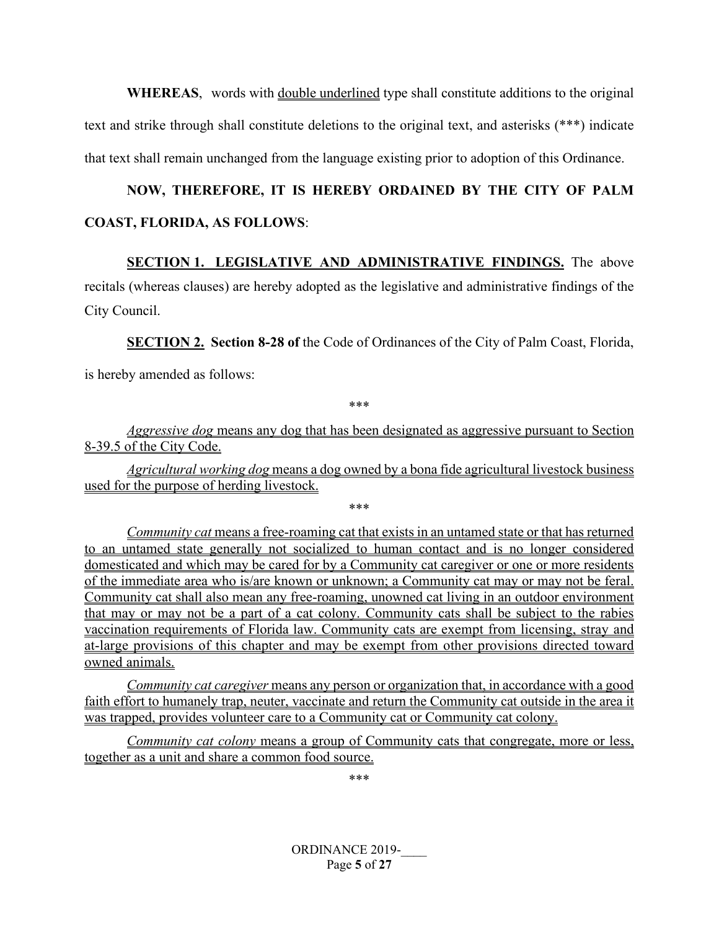**WHEREAS**, words with double underlined type shall constitute additions to the original text and strike through shall constitute deletions to the original text, and asterisks (\*\*\*) indicate that text shall remain unchanged from the language existing prior to adoption of this Ordinance.

# **NOW, THEREFORE, IT IS HEREBY ORDAINED BY THE CITY OF PALM COAST, FLORIDA, AS FOLLOWS**:

# **SECTION 1. LEGISLATIVE AND ADMINISTRATIVE FINDINGS.** The above recitals (whereas clauses) are hereby adopted as the legislative and administrative findings of the City Council.

**SECTION 2. Section 8-28 of the Code of Ordinances of the City of Palm Coast, Florida,** 

is hereby amended as follows:

\*\*\*

*Aggressive dog* means any dog that has been designated as aggressive pursuant to Section 8-39.5 of the City Code.

*Agricultural working dog* means a dog owned by a bona fide agricultural livestock business used for the purpose of herding livestock.

\*\*\*

*Community cat* means a free-roaming cat that exists in an untamed state or that has returned to an untamed state generally not socialized to human contact and is no longer considered domesticated and which may be cared for by a Community cat caregiver or one or more residents of the immediate area who is/are known or unknown; a Community cat may or may not be feral. Community cat shall also mean any free-roaming, unowned cat living in an outdoor environment that may or may not be a part of a cat colony. Community cats shall be subject to the rabies vaccination requirements of Florida law. Community cats are exempt from licensing, stray and at-large provisions of this chapter and may be exempt from other provisions directed toward owned animals.

*Community cat caregiver* means any person or organization that, in accordance with a good faith effort to humanely trap, neuter, vaccinate and return the Community cat outside in the area it was trapped, provides volunteer care to a Community cat or Community cat colony.

*Community cat colony* means a group of Community cats that congregate, more or less, together as a unit and share a common food source.

\*\*\*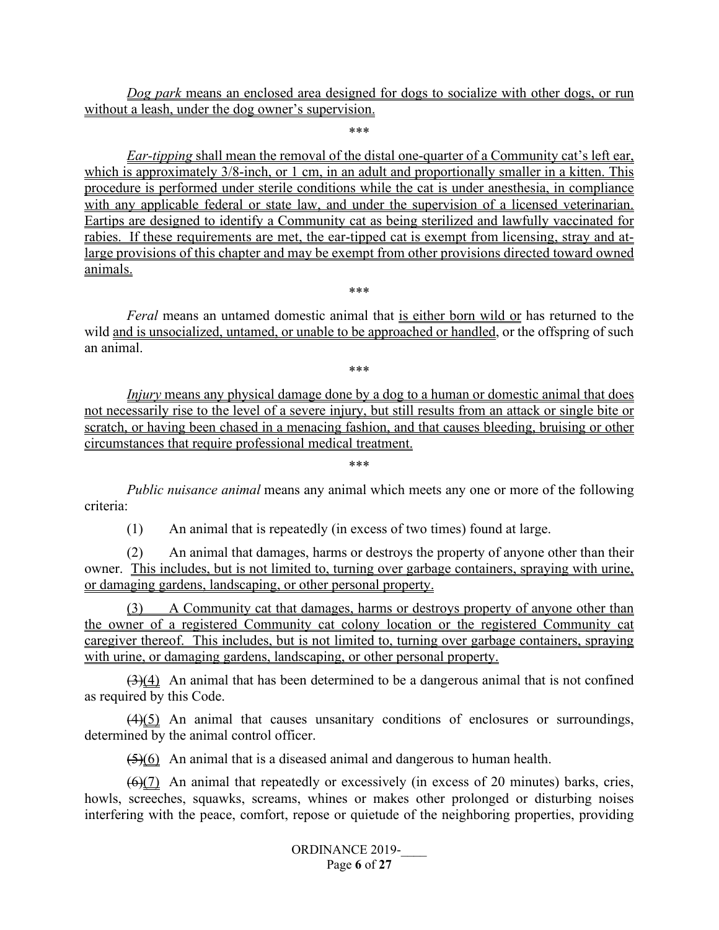*Dog park* means an enclosed area designed for dogs to socialize with other dogs, or run without a leash, under the dog owner's supervision.

\*\*\*

*Ear-tipping* shall mean the removal of the distal one-quarter of a Community cat's left ear, which is approximately  $3/8$ -inch, or 1 cm, in an adult and proportionally smaller in a kitten. This procedure is performed under sterile conditions while the cat is under anesthesia, in compliance with any applicable federal or state law, and under the supervision of a licensed veterinarian. Eartips are designed to identify a Community cat as being sterilized and lawfully vaccinated for rabies. If these requirements are met, the ear-tipped cat is exempt from licensing, stray and atlarge provisions of this chapter and may be exempt from other provisions directed toward owned animals.

*Feral* means an untamed domestic animal that is either born wild or has returned to the wild and is unsocialized, untamed, or unable to be approached or handled, or the offspring of such an animal.

\*\*\*

\*\*\*

*Injury* means any physical damage done by a dog to a human or domestic animal that does not necessarily rise to the level of a severe injury, but still results from an attack or single bite or scratch, or having been chased in a menacing fashion, and that causes bleeding, bruising or other circumstances that require professional medical treatment.

*Public nuisance animal* means any animal which meets any one or more of the following criteria:

\*\*\*

(1) An animal that is repeatedly (in excess of two times) found at large.

(2) An animal that damages, harms or destroys the property of anyone other than their owner. This includes, but is not limited to, turning over garbage containers, spraying with urine, or damaging gardens, landscaping, or other personal property.

(3) A Community cat that damages, harms or destroys property of anyone other than the owner of a registered Community cat colony location or the registered Community cat caregiver thereof. This includes, but is not limited to, turning over garbage containers, spraying with urine, or damaging gardens, landscaping, or other personal property.

 $(3)(4)$  An animal that has been determined to be a dangerous animal that is not confined as required by this Code.

 $(4)(5)$  An animal that causes unsanitary conditions of enclosures or surroundings, determined by the animal control officer.

 $(5)(6)$  An animal that is a diseased animal and dangerous to human health.

 $(6)$ (7) An animal that repeatedly or excessively (in excess of 20 minutes) barks, cries, howls, screeches, squawks, screams, whines or makes other prolonged or disturbing noises interfering with the peace, comfort, repose or quietude of the neighboring properties, providing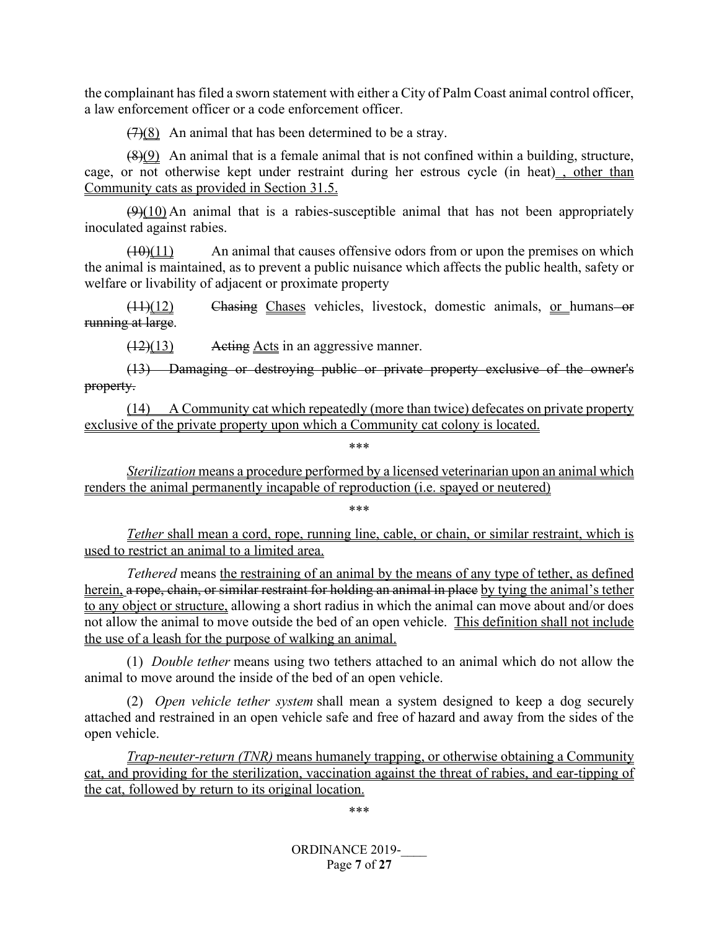the complainant has filed a sworn statement with either a City of Palm Coast animal control officer, a law enforcement officer or a code enforcement officer.

 $(7)(8)$  An animal that has been determined to be a stray.

(8)(9) An animal that is a female animal that is not confined within a building, structure, cage, or not otherwise kept under restraint during her estrous cycle (in heat) , other than Community cats as provided in Section 31.5.

 $(9)(10)$  An animal that is a rabies-susceptible animal that has not been appropriately inoculated against rabies.

 $(10)(11)$  An animal that causes of fensive odors from or upon the premises on which the animal is maintained, as to prevent a public nuisance which affects the public health, safety or welfare or livability of adjacent or proximate property

 $(11)(12)$  Chasing Chases vehicles, livestock, domestic animals, or humans or running at large.

(12)(13) Acting Acts in an aggressive manner.

(13) Damaging or destroying public or private property exclusive of the owner's property.

(14) A Community cat which repeatedly (more than twice) defecates on private property exclusive of the private property upon which a Community cat colony is located.

\*\*\*

*Sterilization* means a procedure performed by a licensed veterinarian upon an animal which renders the animal permanently incapable of reproduction (i.e. spayed or neutered)

\*\*\*

*Tether* shall mean a cord, rope, running line, cable, or chain, or similar restraint, which is used to restrict an animal to a limited area.

*Tethered* means the restraining of an animal by the means of any type of tether, as defined herein, a rope, chain, or similar restraint for holding an animal in place by tying the animal's tether to any object or structure, allowing a short radius in which the animal can move about and/or does not allow the animal to move outside the bed of an open vehicle. This definition shall not include the use of a leash for the purpose of walking an animal.

(1) *Double tether* means using two tethers attached to an animal which do not allow the animal to move around the inside of the bed of an open vehicle.

(2) *Open vehicle tether system* shall mean a system designed to keep a dog securely attached and restrained in an open vehicle safe and free of hazard and away from the sides of the open vehicle.

*Trap-neuter-return (TNR)* means humanely trapping, or otherwise obtaining a Community cat, and providing for the sterilization, vaccination against the threat of rabies, and ear-tipping of the cat, followed by return to its original location.

\*\*\*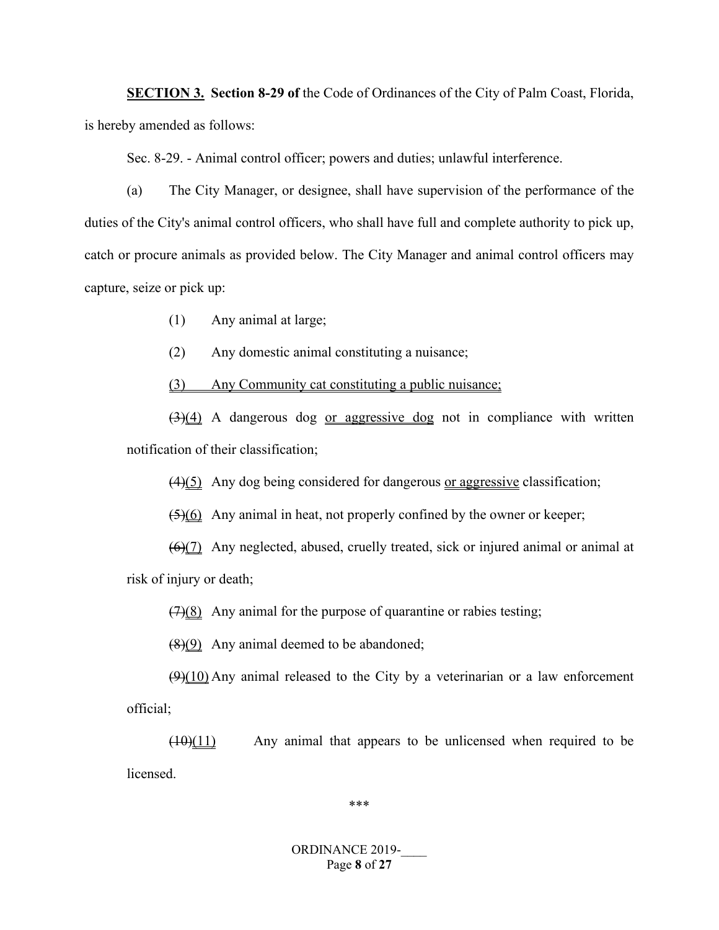**SECTION 3. Section 8-29 of** the Code of Ordinances of the City of Palm Coast, Florida, is hereby amended as follows:

Sec. 8-29. - Animal control officer; powers and duties; unlawful interference.

(a) The City Manager, or designee, shall have supervision of the performance of the duties of the City's animal control officers, who shall have full and complete authority to pick up, catch or procure animals as provided below. The City Manager and animal control officers may capture, seize or pick up:

(1) Any animal at large;

(2) Any domestic animal constituting a nuisance;

(3) Any Community cat constituting a public nuisance;

 $\left(\frac{3}{4}\right)$  A dangerous dog or aggressive dog not in compliance with written notification of their classification;

(4)(5) Any dog being considered for dangerous or aggressive classification;

 $(5)(6)$  Any animal in heat, not properly confined by the owner or keeper;

(6)(7) Any neglected, abused, cruelly treated, sick or injured animal or animal at

risk of injury or death;

 $(7)(8)$  Any animal for the purpose of quarantine or rabies testing;

 $(8)(9)$  Any animal deemed to be abandoned;

 $(9)(10)$  Any animal released to the City by a veterinarian or a law enforcement official;

 $(10)(11)$  Any animal that appears to be unlicensed when required to be licensed.

\*\*\*

#### ORDINANCE 2019-Page **8** of **27**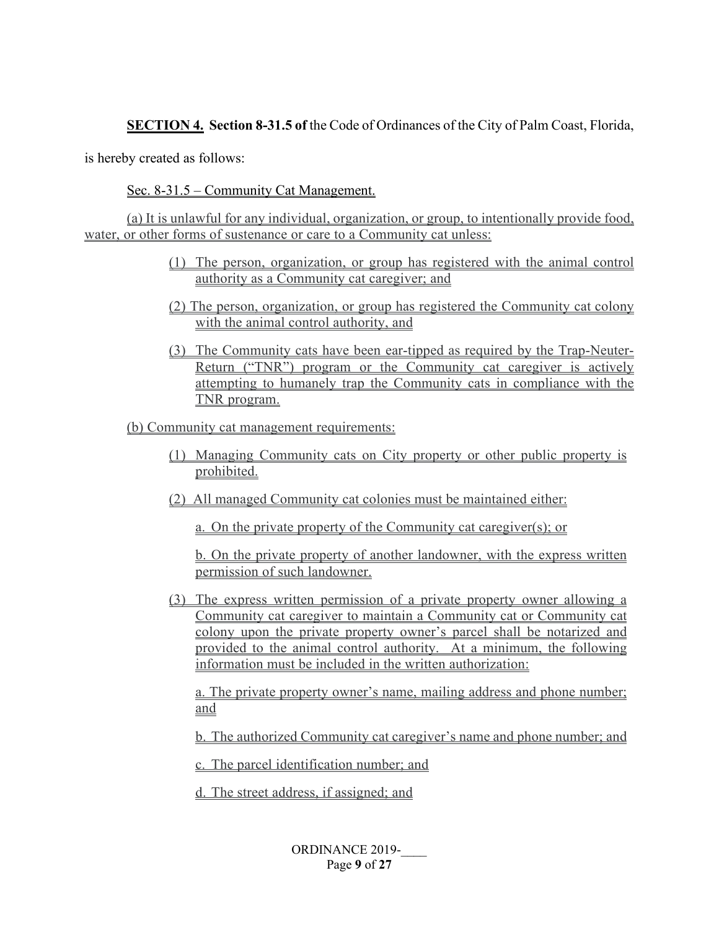## **SECTION 4. Section 8-31.5 of the Code of Ordinances of the City of Palm Coast, Florida,**

is hereby created as follows:

Sec. 8-31.5 – Community Cat Management.

(a) It is unlawful for any individual, organization, or group, to intentionally provide food, water, or other forms of sustenance or care to a Community cat unless:

- (1) The person, organization, or group has registered with the animal control authority as a Community cat caregiver; and
- (2) The person, organization, or group has registered the Community cat colony with the animal control authority, and
- (3) The Community cats have been ear-tipped as required by the Trap-Neuter-Return ("TNR") program or the Community cat caregiver is actively attempting to humanely trap the Community cats in compliance with the TNR program.

(b) Community cat management requirements:

- (1) Managing Community cats on City property or other public property is prohibited.
- (2) All managed Community cat colonies must be maintained either:

a. On the private property of the Community cat caregiver(s); or

b. On the private property of another landowner, with the express written permission of such landowner.

(3) The express written permission of a private property owner allowing a Community cat caregiver to maintain a Community cat or Community cat colony upon the private property owner's parcel shall be notarized and provided to the animal control authority. At a minimum, the following information must be included in the written authorization:

a. The private property owner's name, mailing address and phone number; and

b. The authorized Community cat caregiver's name and phone number; and

c. The parcel identification number; and

d. The street address, if assigned; and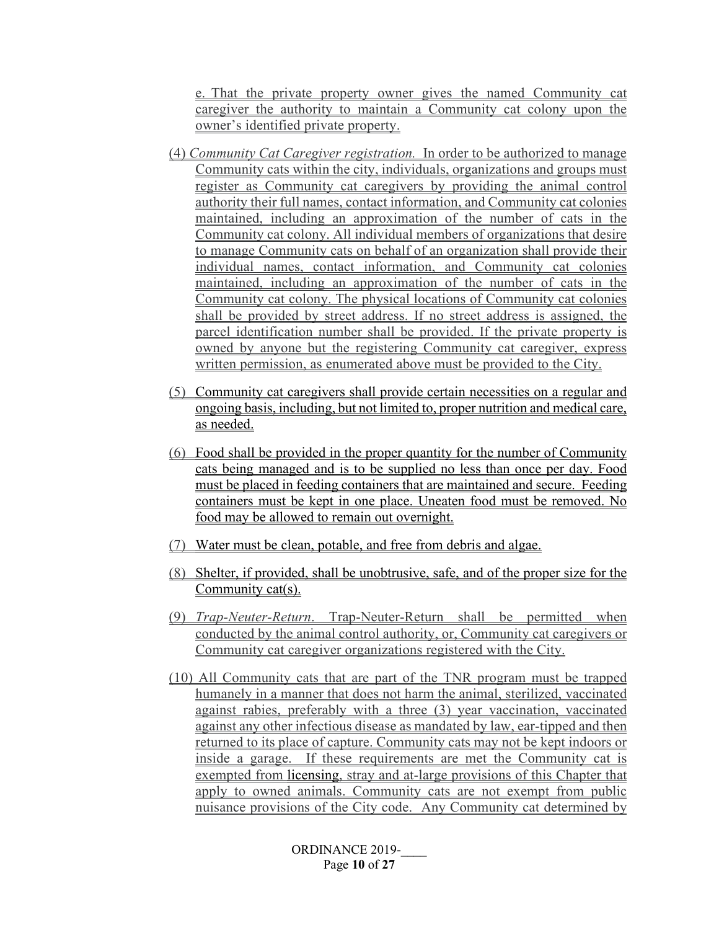e. That the private property owner gives the named Community cat caregiver the authority to maintain a Community cat colony upon the owner's identified private property.

- (4) *Community Cat Caregiver registration.* In order to be authorized to manage Community cats within the city, individuals, organizations and groups must register as Community cat caregivers by providing the animal control authority their full names, contact information, and Community cat colonies maintained, including an approximation of the number of cats in the Community cat colony. All individual members of organizations that desire to manage Community cats on behalf of an organization shall provide their individual names, contact information, and Community cat colonies maintained, including an approximation of the number of cats in the Community cat colony. The physical locations of Community cat colonies shall be provided by street address. If no street address is assigned, the parcel identification number shall be provided. If the private property is owned by anyone but the registering Community cat caregiver, express written permission, as enumerated above must be provided to the City.
- (5) Community cat caregivers shall provide certain necessities on a regular and ongoing basis, including, but not limited to, proper nutrition and medical care, as needed.
- (6) Food shall be provided in the proper quantity for the number of Community cats being managed and is to be supplied no less than once per day. Food must be placed in feeding containers that are maintained and secure. Feeding containers must be kept in one place. Uneaten food must be removed. No food may be allowed to remain out overnight.
- (7) Water must be clean, potable, and free from debris and algae.
- (8) Shelter, if provided, shall be unobtrusive, safe, and of the proper size for the Community cat(s).
- (9) *Trap-Neuter-Return*. Trap-Neuter-Return shall be permitted when conducted by the animal control authority, or, Community cat caregivers or Community cat caregiver organizations registered with the City.
- (10) All Community cats that are part of the TNR program must be trapped humanely in a manner that does not harm the animal, sterilized, vaccinated against rabies, preferably with a three (3) year vaccination, vaccinated against any other infectious disease as mandated by law, ear-tipped and then returned to its place of capture. Community cats may not be kept indoors or inside a garage. If these requirements are met the Community cat is exempted from licensing, stray and at-large provisions of this Chapter that apply to owned animals. Community cats are not exempt from public nuisance provisions of the City code. Any Community cat determined by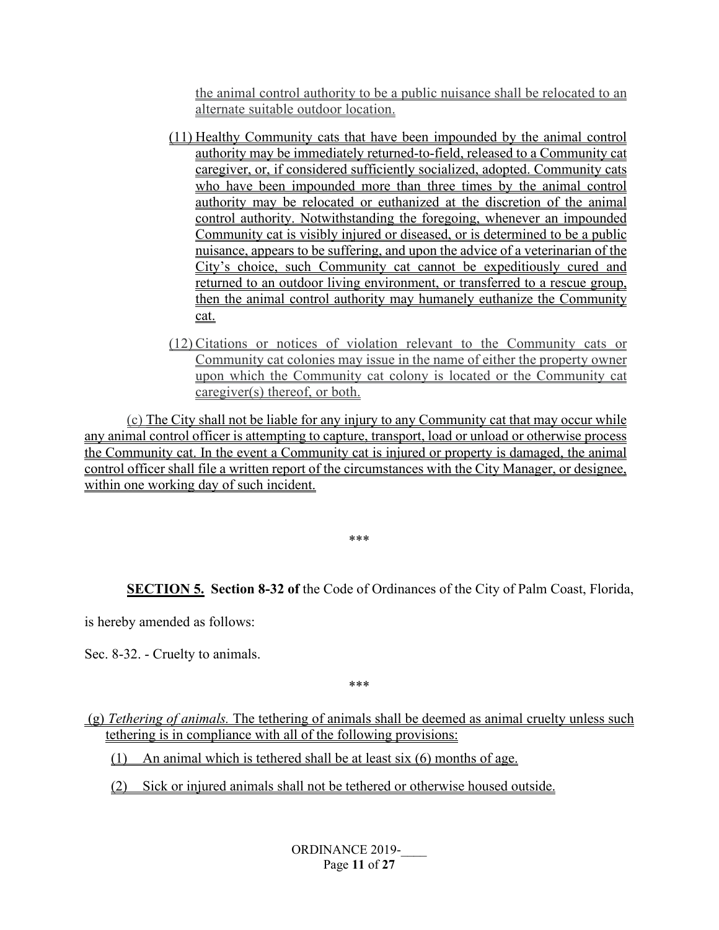the animal control authority to be a public nuisance shall be relocated to an alternate suitable outdoor location.

- (11) Healthy Community cats that have been impounded by the animal control authority may be immediately returned-to-field, released to a Community cat caregiver, or, if considered sufficiently socialized, adopted. Community cats who have been impounded more than three times by the animal control authority may be relocated or euthanized at the discretion of the animal control authority. Notwithstanding the foregoing, whenever an impounded Community cat is visibly injured or diseased, or is determined to be a public nuisance, appears to be suffering, and upon the advice of a veterinarian of the City's choice, such Community cat cannot be expeditiously cured and returned to an outdoor living environment, or transferred to a rescue group, then the animal control authority may humanely euthanize the Community cat.
- (12) Citations or notices of violation relevant to the Community cats or Community cat colonies may issue in the name of either the property owner upon which the Community cat colony is located or the Community cat caregiver(s) thereof, or both.

(c) The City shall not be liable for any injury to any Community cat that may occur while any animal control officer is attempting to capture, transport, load or unload or otherwise process the Community cat. In the event a Community cat is injured or property is damaged, the animal control officer shall file a written report of the circumstances with the City Manager, or designee, within one working day of such incident.

\*\*\*

**SECTION 5. Section 8-32 of** the Code of Ordinances of the City of Palm Coast, Florida,

is hereby amended as follows:

Sec. 8-32. - Cruelty to animals.

\*\*\*

(g) *Tethering of animals.* The tethering of animals shall be deemed as animal cruelty unless such tethering is in compliance with all of the following provisions:

(1) An animal which is tethered shall be at least six (6) months of age.

(2) Sick or injured animals shall not be tethered or otherwise housed outside.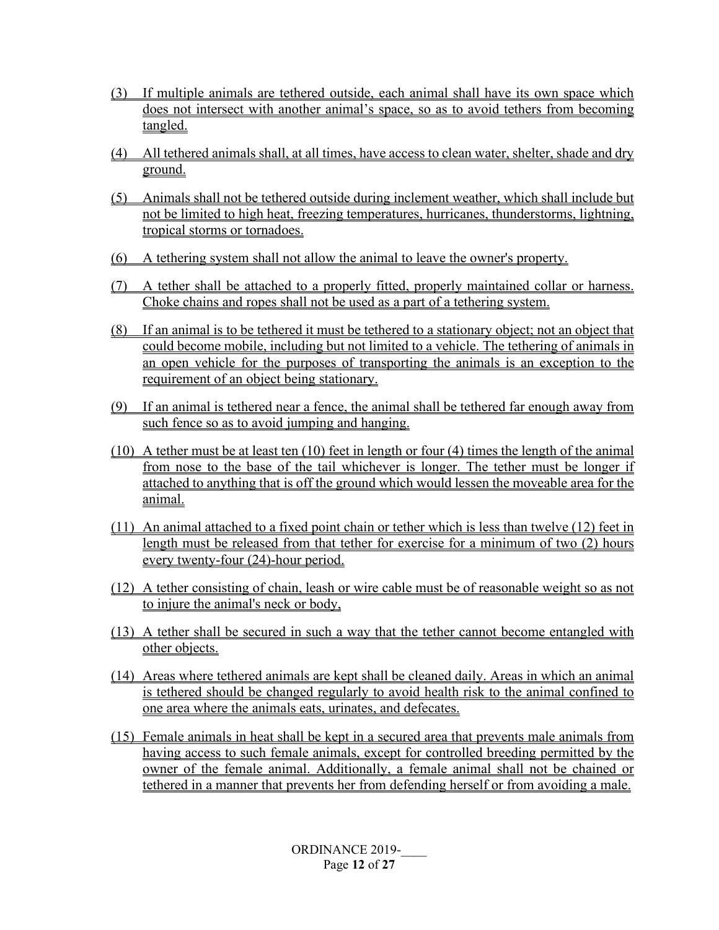- (3) If multiple animals are tethered outside, each animal shall have its own space which does not intersect with another animal's space, so as to avoid tethers from becoming tangled.
- (4) All tethered animals shall, at all times, have access to clean water, shelter, shade and dry ground.
- (5) Animals shall not be tethered outside during inclement weather, which shall include but not be limited to high heat, freezing temperatures, hurricanes, thunderstorms, lightning, tropical storms or tornadoes.
- (6) A tethering system shall not allow the animal to leave the owner's property.
- (7) A tether shall be attached to a properly fitted, properly maintained collar or harness. Choke chains and ropes shall not be used as a part of a tethering system.
- (8) If an animal is to be tethered it must be tethered to a stationary object; not an object that could become mobile, including but not limited to a vehicle. The tethering of animals in an open vehicle for the purposes of transporting the animals is an exception to the requirement of an object being stationary.
- (9) If an animal is tethered near a fence, the animal shall be tethered far enough away from such fence so as to avoid jumping and hanging.
- (10) A tether must be at least ten (10) feet in length or four (4) times the length of the animal from nose to the base of the tail whichever is longer. The tether must be longer if attached to anything that is off the ground which would lessen the moveable area for the animal.
- (11) An animal attached to a fixed point chain or tether which is less than twelve (12) feet in length must be released from that tether for exercise for a minimum of two (2) hours every twenty-four (24)-hour period.
- (12) A tether consisting of chain, leash or wire cable must be of reasonable weight so as not to injure the animal's neck or body,
- (13) A tether shall be secured in such a way that the tether cannot become entangled with other objects.
- (14) Areas where tethered animals are kept shall be cleaned daily. Areas in which an animal is tethered should be changed regularly to avoid health risk to the animal confined to one area where the animals eats, urinates, and defecates.
- (15) Female animals in heat shall be kept in a secured area that prevents male animals from having access to such female animals, except for controlled breeding permitted by the owner of the female animal. Additionally, a female animal shall not be chained or tethered in a manner that prevents her from defending herself or from avoiding a male.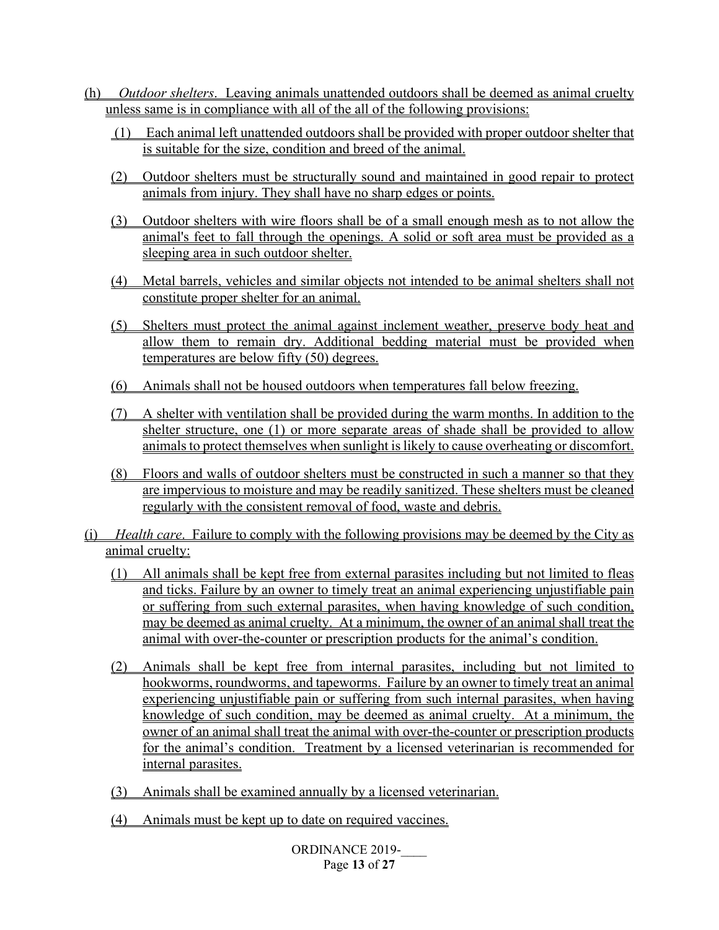- (h) *Outdoor shelters*. Leaving animals unattended outdoors shall be deemed as animal cruelty unless same is in compliance with all of the all of the following provisions:
	- (1) Each animal left unattended outdoors shall be provided with proper outdoor shelter that is suitable for the size, condition and breed of the animal.
	- (2) Outdoor shelters must be structurally sound and maintained in good repair to protect animals from injury. They shall have no sharp edges or points.
	- (3) Outdoor shelters with wire floors shall be of a small enough mesh as to not allow the animal's feet to fall through the openings. A solid or soft area must be provided as a sleeping area in such outdoor shelter.
	- (4) Metal barrels, vehicles and similar objects not intended to be animal shelters shall not constitute proper shelter for an animal.
	- (5) Shelters must protect the animal against inclement weather, preserve body heat and allow them to remain dry. Additional bedding material must be provided when temperatures are below fifty (50) degrees.
	- (6) Animals shall not be housed outdoors when temperatures fall below freezing.
	- (7) A shelter with ventilation shall be provided during the warm months. In addition to the shelter structure, one (1) or more separate areas of shade shall be provided to allow animals to protect themselves when sunlight is likely to cause overheating or discomfort.
	- (8) Floors and walls of outdoor shelters must be constructed in such a manner so that they are impervious to moisture and may be readily sanitized. These shelters must be cleaned regularly with the consistent removal of food, waste and debris.
- (i) *Health care*. Failure to comply with the following provisions may be deemed by the City as animal cruelty:
	- (1) All animals shall be kept free from external parasites including but not limited to fleas and ticks. Failure by an owner to timely treat an animal experiencing unjustifiable pain or suffering from such external parasites, when having knowledge of such condition, may be deemed as animal cruelty. At a minimum, the owner of an animal shall treat the animal with over-the-counter or prescription products for the animal's condition.
	- (2) Animals shall be kept free from internal parasites, including but not limited to hookworms, roundworms, and tapeworms. Failure by an owner to timely treat an animal experiencing unjustifiable pain or suffering from such internal parasites, when having knowledge of such condition, may be deemed as animal cruelty. At a minimum, the owner of an animal shall treat the animal with over-the-counter or prescription products for the animal's condition. Treatment by a licensed veterinarian is recommended for internal parasites.
	- (3) Animals shall be examined annually by a licensed veterinarian.
	- (4) Animals must be kept up to date on required vaccines.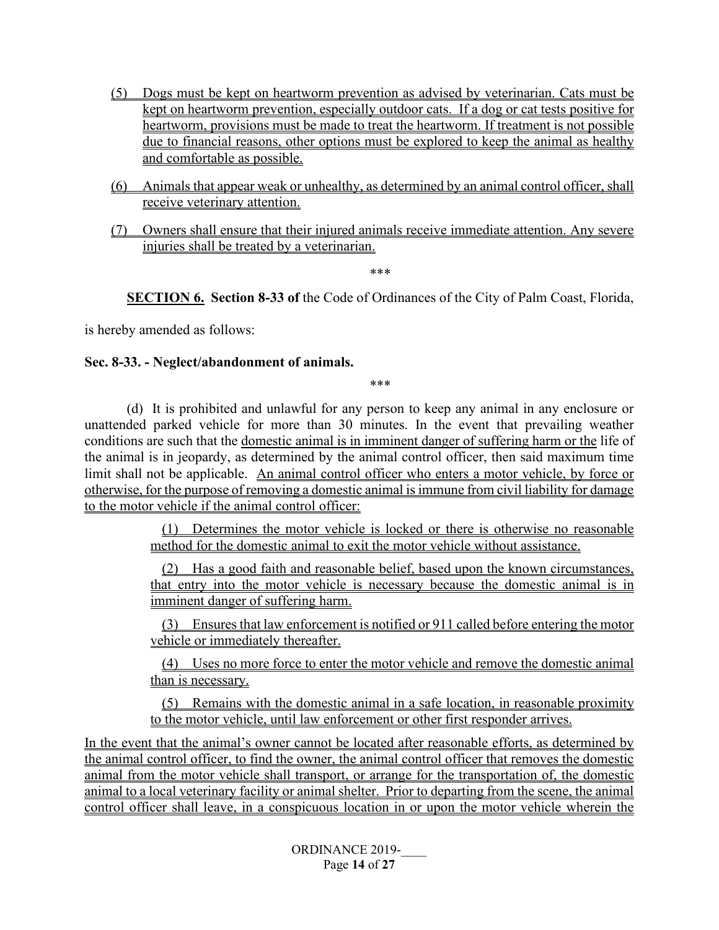- (5) Dogs must be kept on heartworm prevention as advised by veterinarian. Cats must be kept on heartworm prevention, especially outdoor cats. If a dog or cat tests positive for heartworm, provisions must be made to treat the heartworm. If treatment is not possible due to financial reasons, other options must be explored to keep the animal as healthy and comfortable as possible.
- (6) Animals that appear weak or unhealthy, as determined by an animal control officer, shall receive veterinary attention.
- (7) Owners shall ensure that their injured animals receive immediate attention. Any severe injuries shall be treated by a veterinarian.

\*\*\*

**SECTION 6. Section 8-33 of** the Code of Ordinances of the City of Palm Coast, Florida,

is hereby amended as follows:

#### **Sec. 8-33. - Neglect/abandonment of animals.**

\*\*\*

(d) It is prohibited and unlawful for any person to keep any animal in any enclosure or unattended parked vehicle for more than 30 minutes. In the event that prevailing weather conditions are such that the domestic animal is in imminent danger of suffering harm or the life of the animal is in jeopardy, as determined by the animal control officer, then said maximum time limit shall not be applicable. An animal control officer who enters a motor vehicle, by force or otherwise, for the purpose of removing a domestic animal is immune from civil liability for damage to the motor vehicle if the animal control officer:

> (1) Determines the motor vehicle is locked or there is otherwise no reasonable method for the domestic animal to exit the motor vehicle without assistance.

> (2) Has a good faith and reasonable belief, based upon the known circumstances, that entry into the motor vehicle is necessary because the domestic animal is in imminent danger of suffering harm.

> (3) Ensures that law enforcement is notified or 911 called before entering the motor vehicle or immediately thereafter.

> (4) Uses no more force to enter the motor vehicle and remove the domestic animal than is necessary.

> (5) Remains with the domestic animal in a safe location, in reasonable proximity to the motor vehicle, until law enforcement or other first responder arrives.

In the event that the animal's owner cannot be located after reasonable efforts, as determined by the animal control officer, to find the owner, the animal control officer that removes the domestic animal from the motor vehicle shall transport, or arrange for the transportation of, the domestic animal to a local veterinary facility or animal shelter. Prior to departing from the scene, the animal control officer shall leave, in a conspicuous location in or upon the motor vehicle wherein the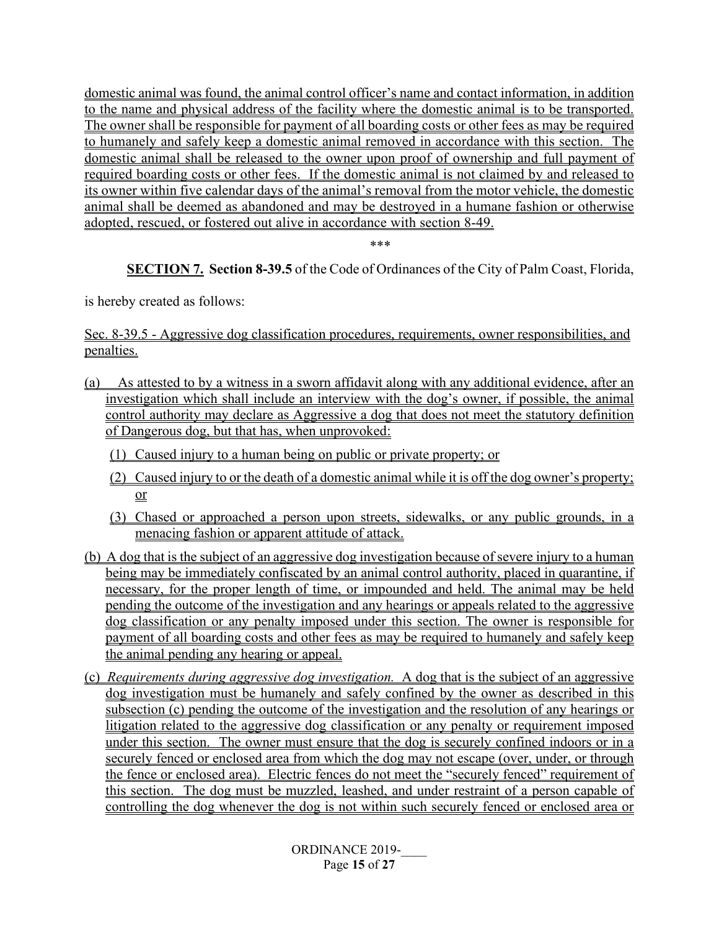domestic animal was found, the animal control officer's name and contact information, in addition to the name and physical address of the facility where the domestic animal is to be transported. The owner shall be responsible for payment of all boarding costs or other fees as may be required to humanely and safely keep a domestic animal removed in accordance with this section. The domestic animal shall be released to the owner upon proof of ownership and full payment of required boarding costs or other fees. If the domestic animal is not claimed by and released to its owner within five calendar days of the animal's removal from the motor vehicle, the domestic animal shall be deemed as abandoned and may be destroyed in a humane fashion or otherwise adopted, rescued, or fostered out alive in accordance with section 8-49.

\*\*\*

**SECTION 7. Section 8-39.5** of the Code of Ordinances of the City of Palm Coast, Florida,

is hereby created as follows:

Sec. 8-39.5 - Aggressive dog classification procedures, requirements, owner responsibilities, and penalties.

- (a) As attested to by a witness in a sworn affidavit along with any additional evidence, after an investigation which shall include an interview with the dog's owner, if possible, the animal control authority may declare as Aggressive a dog that does not meet the statutory definition of Dangerous dog, but that has, when unprovoked:
	- (1) Caused injury to a human being on public or private property; or
	- (2) Caused injury to or the death of a domestic animal while it is off the dog owner's property; or
	- (3) Chased or approached a person upon streets, sidewalks, or any public grounds, in a menacing fashion or apparent attitude of attack.
- (b) A dog that is the subject of an aggressive dog investigation because of severe injury to a human being may be immediately confiscated by an animal control authority, placed in quarantine, if necessary, for the proper length of time, or impounded and held. The animal may be held pending the outcome of the investigation and any hearings or appeals related to the aggressive dog classification or any penalty imposed under this section. The owner is responsible for payment of all boarding costs and other fees as may be required to humanely and safely keep the animal pending any hearing or appeal.
- (c) *Requirements during aggressive dog investigation.* A dog that is the subject of an aggressive dog investigation must be humanely and safely confined by the owner as described in this subsection (c) pending the outcome of the investigation and the resolution of any hearings or litigation related to the aggressive dog classification or any penalty or requirement imposed under this section. The owner must ensure that the dog is securely confined indoors or in a securely fenced or enclosed area from which the dog may not escape (over, under, or through the fence or enclosed area). Electric fences do not meet the "securely fenced" requirement of this section. The dog must be muzzled, leashed, and under restraint of a person capable of controlling the dog whenever the dog is not within such securely fenced or enclosed area or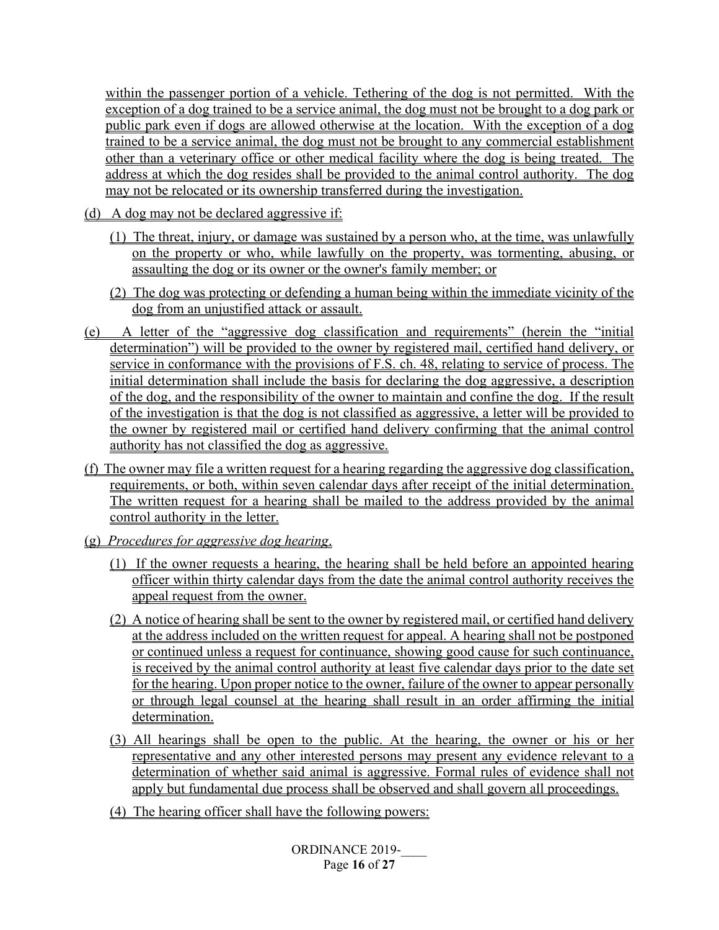within the passenger portion of a vehicle. Tethering of the dog is not permitted. With the exception of a dog trained to be a service animal, the dog must not be brought to a dog park or public park even if dogs are allowed otherwise at the location. With the exception of a dog trained to be a service animal, the dog must not be brought to any commercial establishment other than a veterinary office or other medical facility where the dog is being treated. The address at which the dog resides shall be provided to the animal control authority. The dog may not be relocated or its ownership transferred during the investigation.

- (d) A dog may not be declared aggressive if:
	- (1) The threat, injury, or damage was sustained by a person who, at the time, was unlawfully on the property or who, while lawfully on the property, was tormenting, abusing, or assaulting the dog or its owner or the owner's family member; or
	- (2) The dog was protecting or defending a human being within the immediate vicinity of the dog from an unjustified attack or assault.
- (e) A letter of the "aggressive dog classification and requirements" (herein the "initial determination") will be provided to the owner by registered mail, certified hand delivery, or service in conformance with the provisions of F.S. ch. 48, relating to service of process. The initial determination shall include the basis for declaring the dog aggressive, a description of the dog, and the responsibility of the owner to maintain and confine the dog. If the result of the investigation is that the dog is not classified as aggressive, a letter will be provided to the owner by registered mail or certified hand delivery confirming that the animal control authority has not classified the dog as aggressive.
- (f) The owner may file a written request for a hearing regarding the aggressive dog classification, requirements, or both, within seven calendar days after receipt of the initial determination. The written request for a hearing shall be mailed to the address provided by the animal control authority in the letter.
- (g) *Procedures for aggressive dog hearing*.
	- (1) If the owner requests a hearing, the hearing shall be held before an appointed hearing officer within thirty calendar days from the date the animal control authority receives the appeal request from the owner.
	- (2) A notice of hearing shall be sent to the owner by registered mail, or certified hand delivery at the address included on the written request for appeal. A hearing shall not be postponed or continued unless a request for continuance, showing good cause for such continuance, is received by the animal control authority at least five calendar days prior to the date set for the hearing. Upon proper notice to the owner, failure of the owner to appear personally or through legal counsel at the hearing shall result in an order affirming the initial determination.
	- (3) All hearings shall be open to the public. At the hearing, the owner or his or her representative and any other interested persons may present any evidence relevant to a determination of whether said animal is aggressive. Formal rules of evidence shall not apply but fundamental due process shall be observed and shall govern all proceedings.
	- (4) The hearing officer shall have the following powers: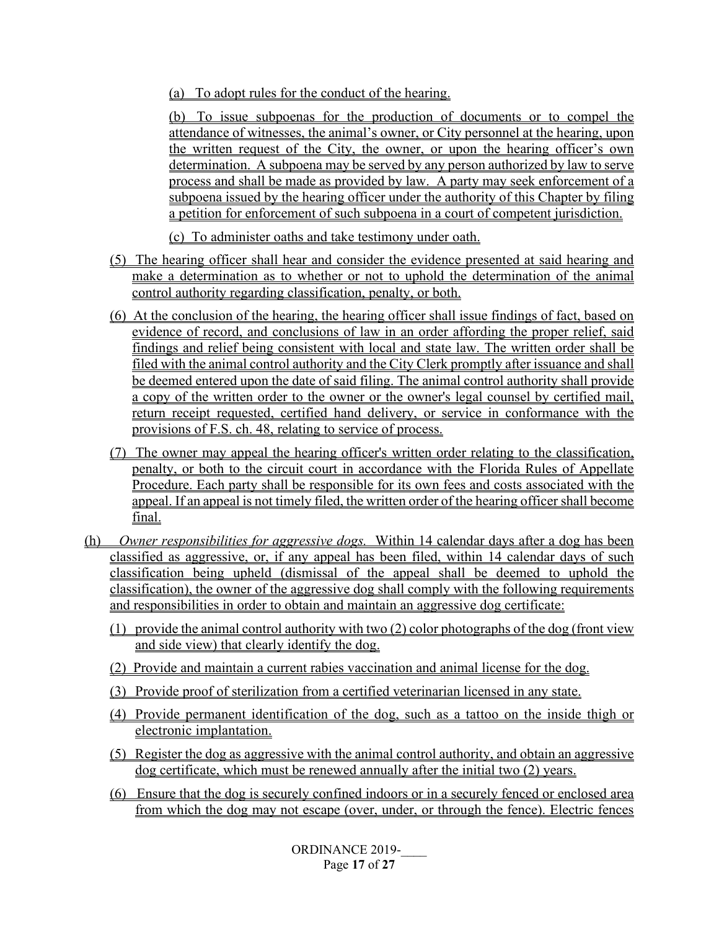(a) To adopt rules for the conduct of the hearing.

(b) To issue subpoenas for the production of documents or to compel the attendance of witnesses, the animal's owner, or City personnel at the hearing, upon the written request of the City, the owner, or upon the hearing officer's own determination. A subpoena may be served by any person authorized by law to serve process and shall be made as provided by law. A party may seek enforcement of a subpoena issued by the hearing officer under the authority of this Chapter by filing a petition for enforcement of such subpoena in a court of competent jurisdiction.

(c) To administer oaths and take testimony under oath.

- (5) The hearing officer shall hear and consider the evidence presented at said hearing and make a determination as to whether or not to uphold the determination of the animal control authority regarding classification, penalty, or both.
- (6) At the conclusion of the hearing, the hearing officer shall issue findings of fact, based on evidence of record, and conclusions of law in an order affording the proper relief, said findings and relief being consistent with local and state law. The written order shall be filed with the animal control authority and the City Clerk promptly after issuance and shall be deemed entered upon the date of said filing. The animal control authority shall provide a copy of the written order to the owner or the owner's legal counsel by certified mail, return receipt requested, certified hand delivery, or service in conformance with the provisions of F.S. ch. 48, relating to service of process.
- (7) The owner may appeal the hearing officer's written order relating to the classification, penalty, or both to the circuit court in accordance with the Florida Rules of Appellate Procedure. Each party shall be responsible for its own fees and costs associated with the appeal. If an appeal is not timely filed, the written order of the hearing officer shall become final.
- (h) *Owner responsibilities for aggressive dogs.* Within 14 calendar days after a dog has been classified as aggressive, or, if any appeal has been filed, within 14 calendar days of such classification being upheld (dismissal of the appeal shall be deemed to uphold the classification), the owner of the aggressive dog shall comply with the following requirements and responsibilities in order to obtain and maintain an aggressive dog certificate:
	- (1) provide the animal control authority with two (2) color photographs of the dog (front view and side view) that clearly identify the dog.
	- (2) Provide and maintain a current rabies vaccination and animal license for the dog.
	- (3) Provide proof of sterilization from a certified veterinarian licensed in any state.
	- (4) Provide permanent identification of the dog, such as a tattoo on the inside thigh or electronic implantation.
	- (5) Register the dog as aggressive with the animal control authority, and obtain an aggressive dog certificate, which must be renewed annually after the initial two (2) years.
	- (6) Ensure that the dog is securely confined indoors or in a securely fenced or enclosed area from which the dog may not escape (over, under, or through the fence). Electric fences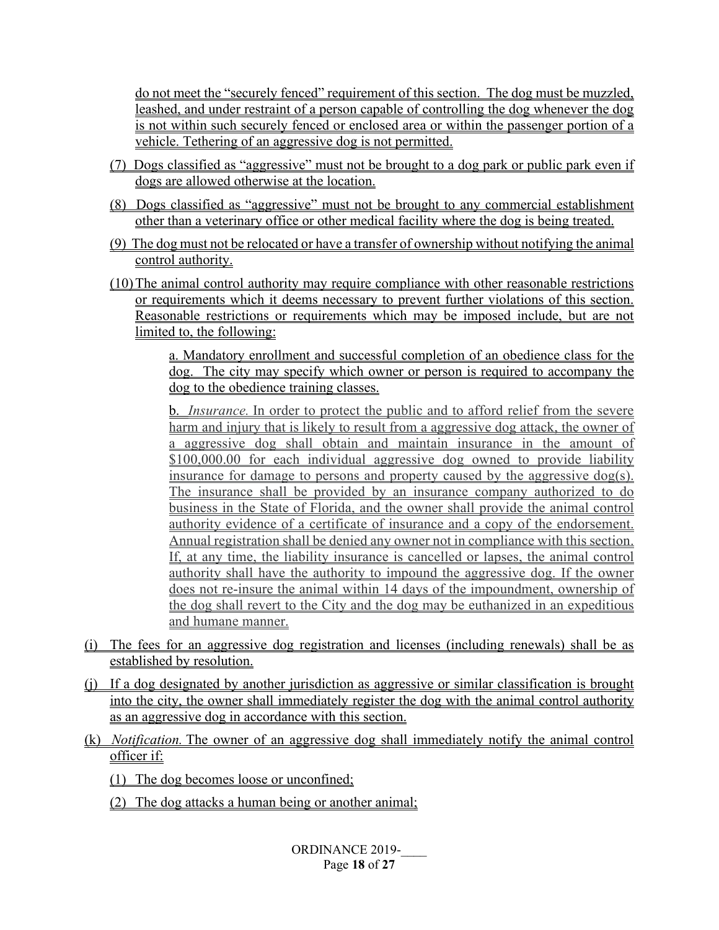do not meet the "securely fenced" requirement of this section. The dog must be muzzled, leashed, and under restraint of a person capable of controlling the dog whenever the dog is not within such securely fenced or enclosed area or within the passenger portion of a vehicle. Tethering of an aggressive dog is not permitted.

- (7) Dogs classified as "aggressive" must not be brought to a dog park or public park even if dogs are allowed otherwise at the location.
- (8) Dogs classified as "aggressive" must not be brought to any commercial establishment other than a veterinary office or other medical facility where the dog is being treated.
- (9) The dog must not be relocated or have a transfer of ownership without notifying the animal control authority.
- (10)The animal control authority may require compliance with other reasonable restrictions or requirements which it deems necessary to prevent further violations of this section. Reasonable restrictions or requirements which may be imposed include, but are not limited to, the following:

a. Mandatory enrollment and successful completion of an obedience class for the dog. The city may specify which owner or person is required to accompany the dog to the obedience training classes.

b. *Insurance.* In order to protect the public and to afford relief from the severe harm and injury that is likely to result from a aggressive dog attack, the owner of a aggressive dog shall obtain and maintain insurance in the amount of \$100,000.00 for each individual aggressive dog owned to provide liability insurance for damage to persons and property caused by the aggressive dog(s). The insurance shall be provided by an insurance company authorized to do business in the State of Florida, and the owner shall provide the animal control authority evidence of a certificate of insurance and a copy of the endorsement. Annual registration shall be denied any owner not in compliance with this section. If, at any time, the liability insurance is cancelled or lapses, the animal control authority shall have the authority to impound the aggressive dog. If the owner does not re-insure the animal within 14 days of the impoundment, ownership of the dog shall revert to the City and the dog may be euthanized in an expeditious and humane manner.

- (i) The fees for an aggressive dog registration and licenses (including renewals) shall be as established by resolution.
- (j) If a dog designated by another jurisdiction as aggressive or similar classification is brought into the city, the owner shall immediately register the dog with the animal control authority as an aggressive dog in accordance with this section.
- (k) *Notification.* The owner of an aggressive dog shall immediately notify the animal control officer if:
	- (1) The dog becomes loose or unconfined;
	- (2) The dog attacks a human being or another animal;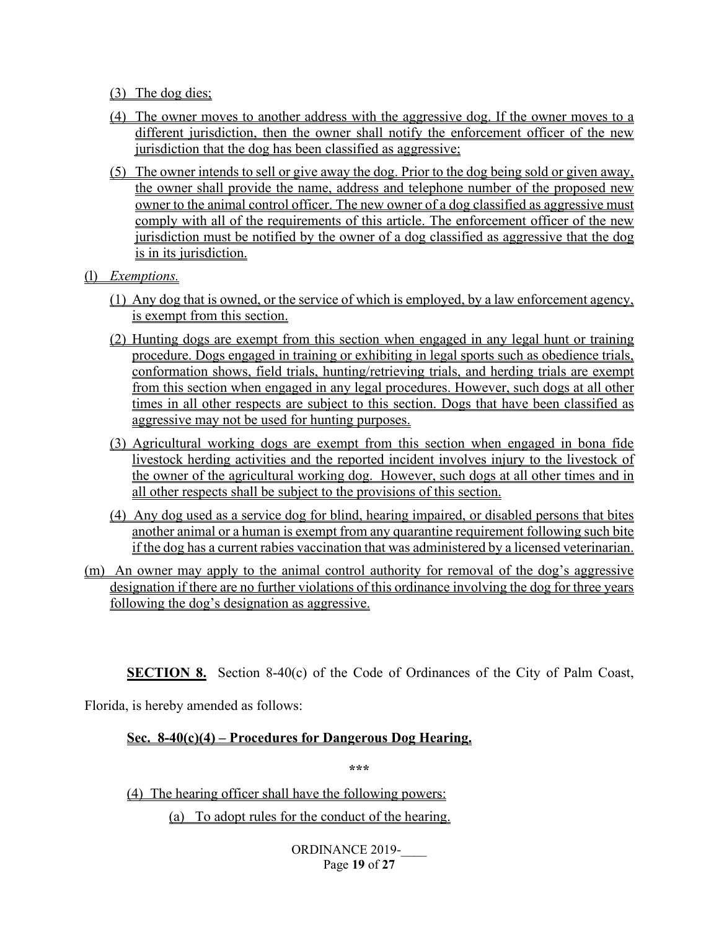- (3) The dog dies;
- (4) The owner moves to another address with the aggressive dog. If the owner moves to a different jurisdiction, then the owner shall notify the enforcement officer of the new jurisdiction that the dog has been classified as aggressive;
- (5) The owner intends to sell or give away the dog. Prior to the dog being sold or given away, the owner shall provide the name, address and telephone number of the proposed new owner to the animal control officer. The new owner of a dog classified as aggressive must comply with all of the requirements of this article. The enforcement officer of the new jurisdiction must be notified by the owner of a dog classified as aggressive that the dog is in its jurisdiction.
- (l) *Exemptions.*
	- (1) Any dog that is owned, or the service of which is employed, by a law enforcement agency, is exempt from this section.
	- (2) Hunting dogs are exempt from this section when engaged in any legal hunt or training procedure. Dogs engaged in training or exhibiting in legal sports such as obedience trials, conformation shows, field trials, hunting/retrieving trials, and herding trials are exempt from this section when engaged in any legal procedures. However, such dogs at all other times in all other respects are subject to this section. Dogs that have been classified as aggressive may not be used for hunting purposes.
	- (3) Agricultural working dogs are exempt from this section when engaged in bona fide livestock herding activities and the reported incident involves injury to the livestock of the owner of the agricultural working dog. However, such dogs at all other times and in all other respects shall be subject to the provisions of this section.
	- (4) Any dog used as a service dog for blind, hearing impaired, or disabled persons that bites another animal or a human is exempt from any quarantine requirement following such bite if the dog has a current rabies vaccination that was administered by a licensed veterinarian.
- (m) An owner may apply to the animal control authority for removal of the dog's aggressive designation if there are no further violations of this ordinance involving the dog for three years following the dog's designation as aggressive.

**SECTION 8.** Section 8-40(c) of the Code of Ordinances of the City of Palm Coast,

Florida, is hereby amended as follows:

#### **Sec. 8-40(c)(4) – Procedures for Dangerous Dog Hearing.**

**\*\*\***

(4) The hearing officer shall have the following powers: (a) To adopt rules for the conduct of the hearing.

> ORDINANCE 2019-Page **19** of **27**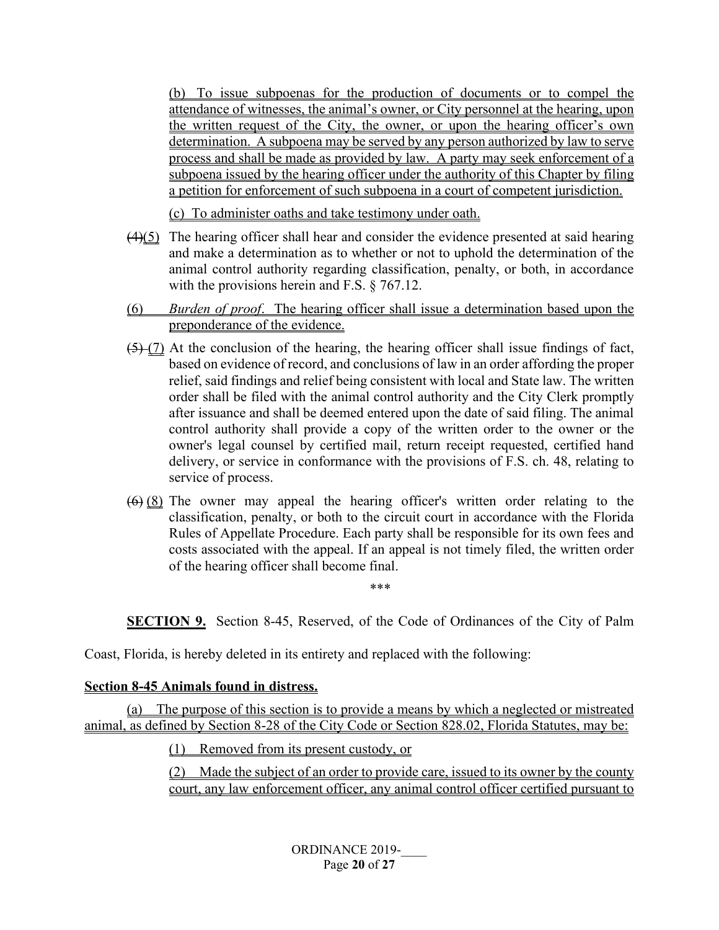(b) To issue subpoenas for the production of documents or to compel the attendance of witnesses, the animal's owner, or City personnel at the hearing, upon the written request of the City, the owner, or upon the hearing officer's own determination. A subpoena may be served by any person authorized by law to serve process and shall be made as provided by law. A party may seek enforcement of a subpoena issued by the hearing officer under the authority of this Chapter by filing a petition for enforcement of such subpoena in a court of competent jurisdiction.

(c) To administer oaths and take testimony under oath.

- $(4)(5)$  The hearing officer shall hear and consider the evidence presented at said hearing and make a determination as to whether or not to uphold the determination of the animal control authority regarding classification, penalty, or both, in accordance with the provisions herein and F.S. § 767.12.
- (6) *Burden of proof*. The hearing officer shall issue a determination based upon the preponderance of the evidence.
- $(5)$  (7) At the conclusion of the hearing, the hearing officer shall issue findings of fact, based on evidence of record, and conclusions of law in an order affording the proper relief, said findings and relief being consistent with local and State law. The written order shall be filed with the animal control authority and the City Clerk promptly after issuance and shall be deemed entered upon the date of said filing. The animal control authority shall provide a copy of the written order to the owner or the owner's legal counsel by certified mail, return receipt requested, certified hand delivery, or service in conformance with the provisions of F.S. ch. 48, relating to service of process.
- $(6)$  (8) The owner may appeal the hearing officer's written order relating to the classification, penalty, or both to the circuit court in accordance with the Florida Rules of Appellate Procedure. Each party shall be responsible for its own fees and costs associated with the appeal. If an appeal is not timely filed, the written order of the hearing officer shall become final.

**SECTION 9.** Section 8-45, Reserved, of the Code of Ordinances of the City of Palm

\*\*\*

Coast, Florida, is hereby deleted in its entirety and replaced with the following:

#### **Section 8-45 Animals found in distress.**

(a) The purpose of this section is to provide a means by which a neglected or mistreated animal, as defined by Section 8-28 of the City Code or Section 828.02, Florida Statutes, may be:

(1) Removed from its present custody, or

(2) Made the subject of an order to provide care, issued to its owner by the county court, any law enforcement officer, any animal control officer certified pursuant to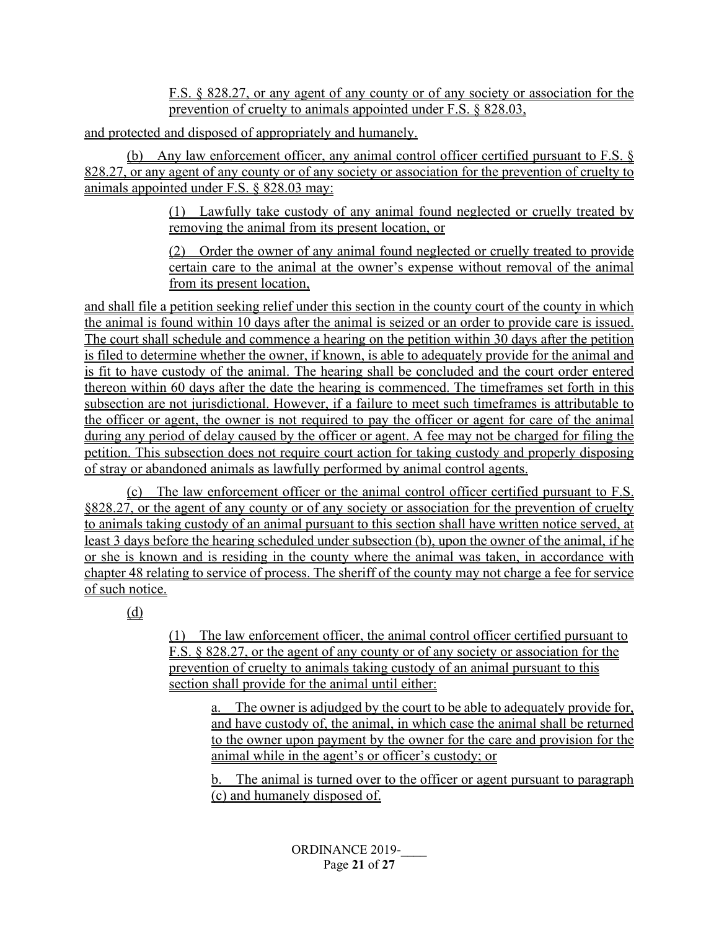F.S. § 828.27, or any agent of any county or of any society or association for the prevention of cruelty to animals appointed under F.S. § 828.03,

and protected and disposed of appropriately and humanely.

(b) Any law enforcement officer, any animal control officer certified pursuant to F.S. § 828.27, or any agent of any county or of any society or association for the prevention of cruelty to animals appointed under F.S. § 828.03 may:

> (1) Lawfully take custody of any animal found neglected or cruelly treated by removing the animal from its present location, or

> (2) Order the owner of any animal found neglected or cruelly treated to provide certain care to the animal at the owner's expense without removal of the animal from its present location,

and shall file a petition seeking relief under this section in the county court of the county in which the animal is found within 10 days after the animal is seized or an order to provide care is issued. The court shall schedule and commence a hearing on the petition within 30 days after the petition is filed to determine whether the owner, if known, is able to adequately provide for the animal and is fit to have custody of the animal. The hearing shall be concluded and the court order entered thereon within 60 days after the date the hearing is commenced. The timeframes set forth in this subsection are not jurisdictional. However, if a failure to meet such timeframes is attributable to the officer or agent, the owner is not required to pay the officer or agent for care of the animal during any period of delay caused by the officer or agent. A fee may not be charged for filing the petition. This subsection does not require court action for taking custody and properly disposing of stray or abandoned animals as lawfully performed by animal control agents.

(c) The law enforcement officer or the animal control officer certified pursuant to F.S. §828.27, or the agent of any county or of any society or association for the prevention of cruelty to animals taking custody of an animal pursuant to this section shall have written notice served, at least 3 days before the hearing scheduled under subsection (b), upon the owner of the animal, if he or she is known and is residing in the county where the animal was taken, in accordance with chapter 48 relating to service of process. The sheriff of the county may not charge a fee for service of such notice.

(d)

(1) The law enforcement officer, the animal control officer certified pursuant to F.S. § 828.27, or the agent of any county or of any society or association for the prevention of cruelty to animals taking custody of an animal pursuant to this section shall provide for the animal until either:

a. The owner is adjudged by the court to be able to adequately provide for, and have custody of, the animal, in which case the animal shall be returned to the owner upon payment by the owner for the care and provision for the animal while in the agent's or officer's custody; or

b. The animal is turned over to the officer or agent pursuant to paragraph (c) and humanely disposed of.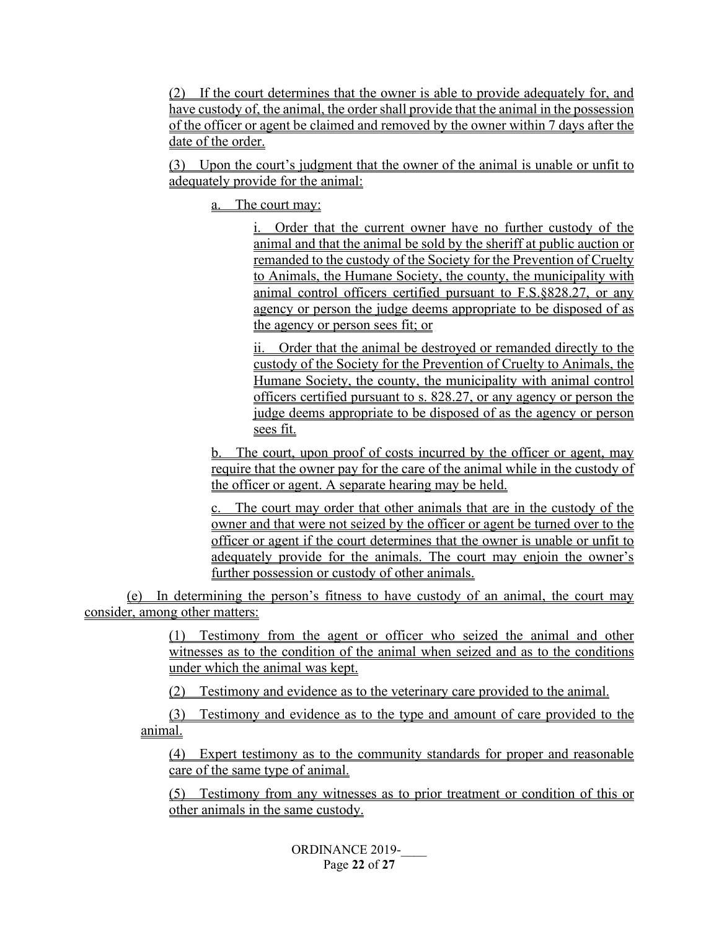(2) If the court determines that the owner is able to provide adequately for, and have custody of, the animal, the order shall provide that the animal in the possession of the officer or agent be claimed and removed by the owner within 7 days after the date of the order.

(3) Upon the court's judgment that the owner of the animal is unable or unfit to adequately provide for the animal:

a. The court may:

i. Order that the current owner have no further custody of the animal and that the animal be sold by the sheriff at public auction or remanded to the custody of the Society for the Prevention of Cruelty to Animals, the Humane Society, the county, the municipality with animal control officers certified pursuant to F.S.§828.27, or any agency or person the judge deems appropriate to be disposed of as the agency or person sees fit; or

ii. Order that the animal be destroyed or remanded directly to the custody of the Society for the Prevention of Cruelty to Animals, the Humane Society, the county, the municipality with animal control officers certified pursuant to s. [828.27,](http://www.leg.state.fl.us/statutes/index.cfm?App_mode=Display_Statute&Search_String=&URL=0800-0899/0828/Sections/0828.27.html) or any agency or person the judge deems appropriate to be disposed of as the agency or person sees fit.

b. The court, upon proof of costs incurred by the officer or agent, may require that the owner pay for the care of the animal while in the custody of the officer or agent. A separate hearing may be held.

c. The court may order that other animals that are in the custody of the owner and that were not seized by the officer or agent be turned over to the officer or agent if the court determines that the owner is unable or unfit to adequately provide for the animals. The court may enjoin the owner's further possession or custody of other animals.

(e) In determining the person's fitness to have custody of an animal, the court may consider, among other matters:

> (1) Testimony from the agent or officer who seized the animal and other witnesses as to the condition of the animal when seized and as to the conditions under which the animal was kept.

(2) Testimony and evidence as to the veterinary care provided to the animal.

(3) Testimony and evidence as to the type and amount of care provided to the animal.

(4) Expert testimony as to the community standards for proper and reasonable care of the same type of animal.

(5) Testimony from any witnesses as to prior treatment or condition of this or other animals in the same custody.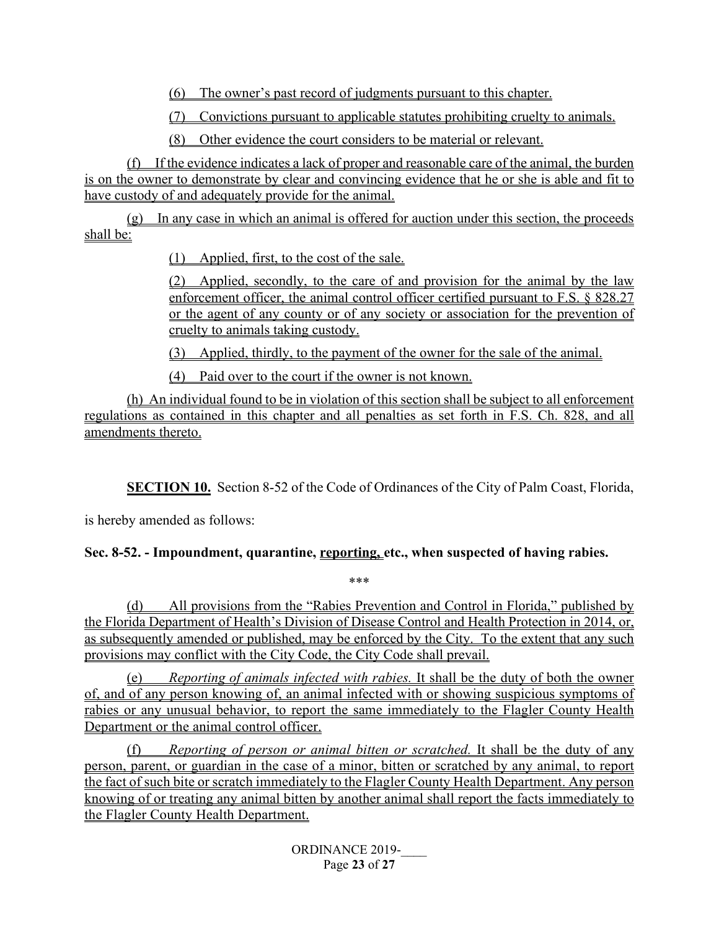(6) The owner's past record of judgments pursuant to this chapter.

(7) Convictions pursuant to applicable statutes prohibiting cruelty to animals.

(8) Other evidence the court considers to be material or relevant.

(f) If the evidence indicates a lack of proper and reasonable care of the animal, the burden is on the owner to demonstrate by clear and convincing evidence that he or she is able and fit to have custody of and adequately provide for the animal.

(g) In any case in which an animal is offered for auction under this section, the proceeds shall be:

(1) Applied, first, to the cost of the sale.

(2) Applied, secondly, to the care of and provision for the animal by the law enforcement officer, the animal control officer certified pursuant to F.S. § 828.27 or the agent of any county or of any society or association for the prevention of cruelty to animals taking custody.

(3) Applied, thirdly, to the payment of the owner for the sale of the animal.

(4) Paid over to the court if the owner is not known.

(h) An individual found to be in violation of this section shall be subject to all enforcement regulations as contained in this chapter and all penalties as set forth in F.S. Ch. 828, and all amendments thereto.

**SECTION 10.** Section 8-52 of the Code of Ordinances of the City of Palm Coast, Florida,

is hereby amended as follows:

### **Sec. 8-52. - Impoundment, quarantine, reporting, etc., when suspected of having rabies.**

\*\*\*

(d) All provisions from the "Rabies Prevention and Control in Florida," published by the Florida Department of Health's Division of Disease Control and Health Protection in 2014, or, as subsequently amended or published, may be enforced by the City. To the extent that any such provisions may conflict with the City Code, the City Code shall prevail.

(e) *Reporting of animals infected with rabies.* It shall be the duty of both the owner of, and of any person knowing of, an animal infected with or showing suspicious symptoms of rabies or any unusual behavior, to report the same immediately to the Flagler County Health Department or the animal control officer.

(f) *Reporting of person or animal bitten or scratched.* It shall be the duty of any person, parent, or guardian in the case of a minor, bitten or scratched by any animal, to report the fact of such bite or scratch immediately to the Flagler County Health Department. Any person knowing of or treating any animal bitten by another animal shall report the facts immediately to the Flagler County Health Department.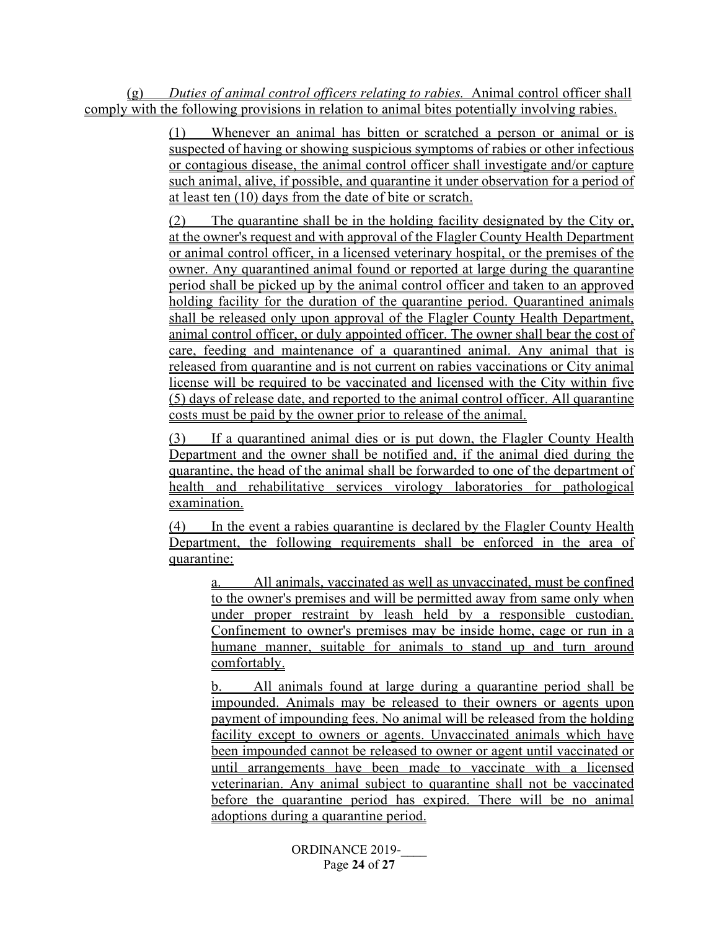(g) *Duties of animal control officers relating to rabies.* Animal control officer shall comply with the following provisions in relation to animal bites potentially involving rabies.

> (1) Whenever an animal has bitten or scratched a person or animal or is suspected of having or showing suspicious symptoms of rabies or other infectious or contagious disease, the animal control officer shall investigate and/or capture such animal, alive, if possible, and quarantine it under observation for a period of at least ten (10) days from the date of bite or scratch.

> (2) The quarantine shall be in the holding facility designated by the City or, at the owner's request and with approval of the Flagler County Health Department or animal control officer, in a licensed veterinary hospital, or the premises of the owner. Any quarantined animal found or reported at large during the quarantine period shall be picked up by the animal control officer and taken to an approved holding facility for the duration of the quarantine period. Quarantined animals shall be released only upon approval of the Flagler County Health Department, animal control officer, or duly appointed officer. The owner shall bear the cost of care, feeding and maintenance of a quarantined animal. Any animal that is released from quarantine and is not current on rabies vaccinations or City animal license will be required to be vaccinated and licensed with the City within five (5) days of release date, and reported to the animal control officer. All quarantine costs must be paid by the owner prior to release of the animal.

> If a quarantined animal dies or is put down, the Flagler County Health Department and the owner shall be notified and, if the animal died during the quarantine, the head of the animal shall be forwarded to one of the department of health and rehabilitative services virology laboratories for pathological examination.

> (4) In the event a rabies quarantine is declared by the Flagler County Health Department, the following requirements shall be enforced in the area of quarantine:

a. All animals, vaccinated as well as unvaccinated, must be confined to the owner's premises and will be permitted away from same only when under proper restraint by leash held by a responsible custodian. Confinement to owner's premises may be inside home, cage or run in a humane manner, suitable for animals to stand up and turn around comfortably.

b. All animals found at large during a quarantine period shall be impounded. Animals may be released to their owners or agents upon payment of impounding fees. No animal will be released from the holding facility except to owners or agents. Unvaccinated animals which have been impounded cannot be released to owner or agent until vaccinated or until arrangements have been made to vaccinate with a licensed veterinarian. Any animal subject to quarantine shall not be vaccinated before the quarantine period has expired. There will be no animal adoptions during a quarantine period.

> ORDINANCE 2019-Page **24** of **27**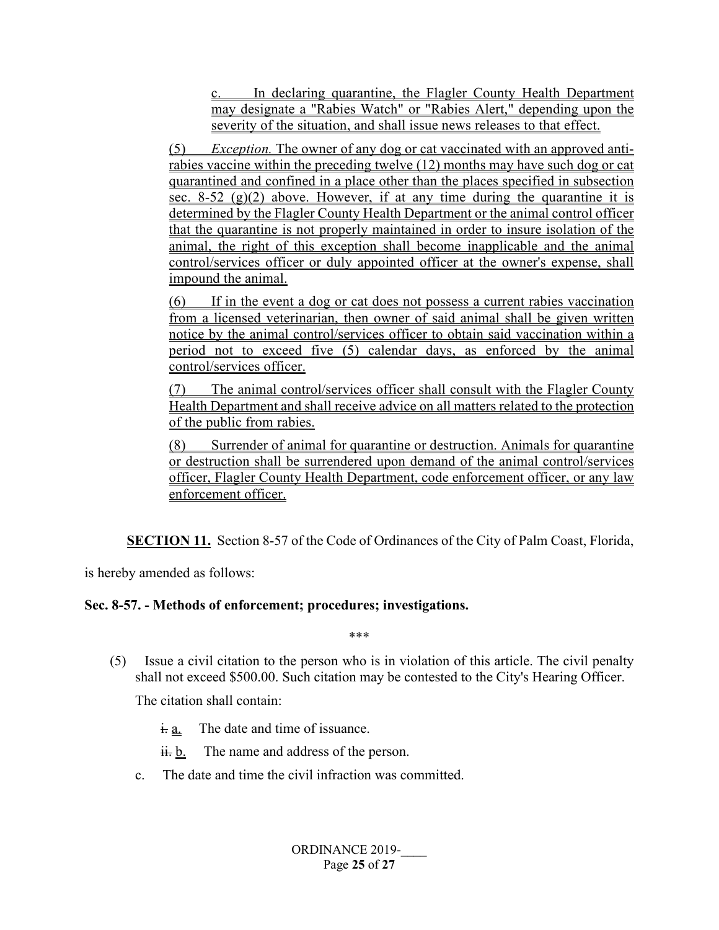c. In declaring quarantine, the Flagler County Health Department may designate a "Rabies Watch" or "Rabies Alert," depending upon the severity of the situation, and shall issue news releases to that effect.

(5) *Exception.* The owner of any dog or cat vaccinated with an approved antirabies vaccine within the preceding twelve (12) months may have such dog or cat quarantined and confined in a place other than the places specified in subsection sec. 8-52 (g)(2) above. However, if at any time during the quarantine it is determined by the Flagler County Health Department or the animal control officer that the quarantine is not properly maintained in order to insure isolation of the animal, the right of this exception shall become inapplicable and the animal control/services officer or duly appointed officer at the owner's expense, shall impound the animal.

(6) If in the event a dog or cat does not possess a current rabies vaccination from a licensed veterinarian, then owner of said animal shall be given written notice by the animal control/services officer to obtain said vaccination within a period not to exceed five (5) calendar days, as enforced by the animal control/services officer.

The animal control/services officer shall consult with the Flagler County Health Department and shall receive advice on all matters related to the protection of the public from rabies.

(8) Surrender of animal for quarantine or destruction. Animals for quarantine or destruction shall be surrendered upon demand of the animal control/services officer, Flagler County Health Department, code enforcement officer, or any law enforcement officer.

**SECTION 11.** Section 8-57 of the Code of Ordinances of the City of Palm Coast, Florida,

is hereby amended as follows:

#### **Sec. 8-57. - Methods of enforcement; procedures; investigations.**

\*\*\*

(5) Issue a civil citation to the person who is in violation of this article. The civil penalty shall not exceed \$500.00. Such citation may be contested to the City's Hearing Officer.

The citation shall contain:

- $\frac{1}{2}$ . The date and time of issuance.
- $\frac{\partial}{\partial t}$ . The name and address of the person.
- c. The date and time the civil infraction was committed.

ORDINANCE 2019-Page **25** of **27**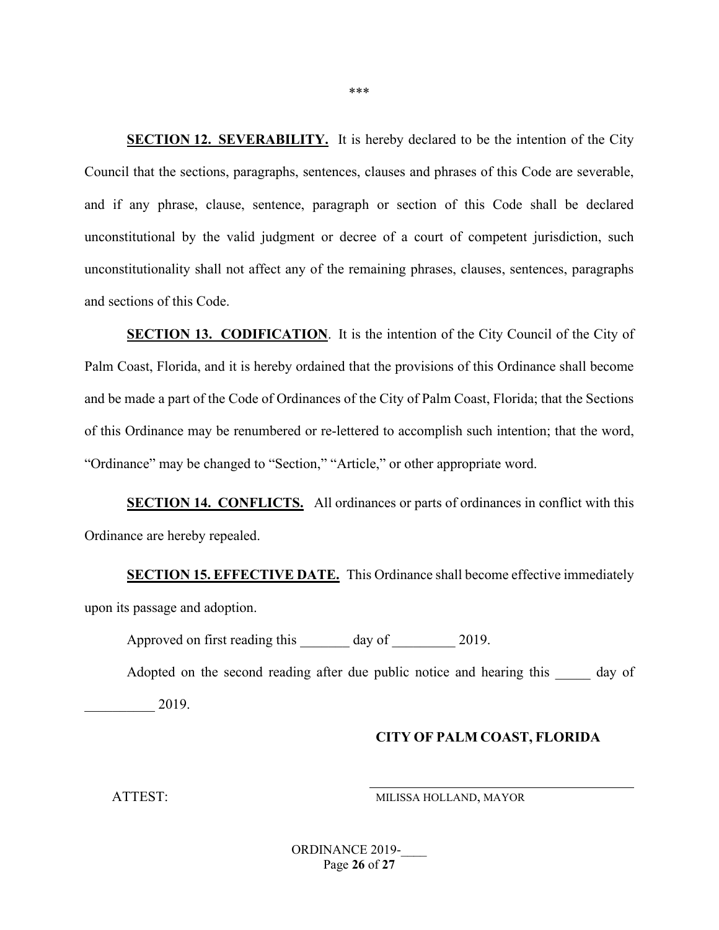**SECTION 12. SEVERABILITY.** It is hereby declared to be the intention of the City Council that the sections, paragraphs, sentences, clauses and phrases of this Code are severable, and if any phrase, clause, sentence, paragraph or section of this Code shall be declared unconstitutional by the valid judgment or decree of a court of competent jurisdiction, such unconstitutionality shall not affect any of the remaining phrases, clauses, sentences, paragraphs and sections of this Code.

**SECTION 13. CODIFICATION**. It is the intention of the City Council of the City of Palm Coast, Florida, and it is hereby ordained that the provisions of this Ordinance shall become and be made a part of the Code of Ordinances of the City of Palm Coast, Florida; that the Sections of this Ordinance may be renumbered or re-lettered to accomplish such intention; that the word, "Ordinance" may be changed to "Section," "Article," or other appropriate word.

**SECTION 14. CONFLICTS.** All ordinances or parts of ordinances in conflict with this Ordinance are hereby repealed.

**SECTION 15. EFFECTIVE DATE.** This Ordinance shall become effective immediately upon its passage and adoption.

Approved on first reading this \_\_\_\_\_\_\_ day of \_\_\_\_\_\_\_\_\_ 2019.

Adopted on the second reading after due public notice and hearing this day of

\_\_\_\_\_\_\_\_\_\_ 2019.

#### **CITY OF PALM COAST, FLORIDA**

ATTEST: MILISSA HOLLAND, MAYOR

ORDINANCE 2019-Page **26** of **27**